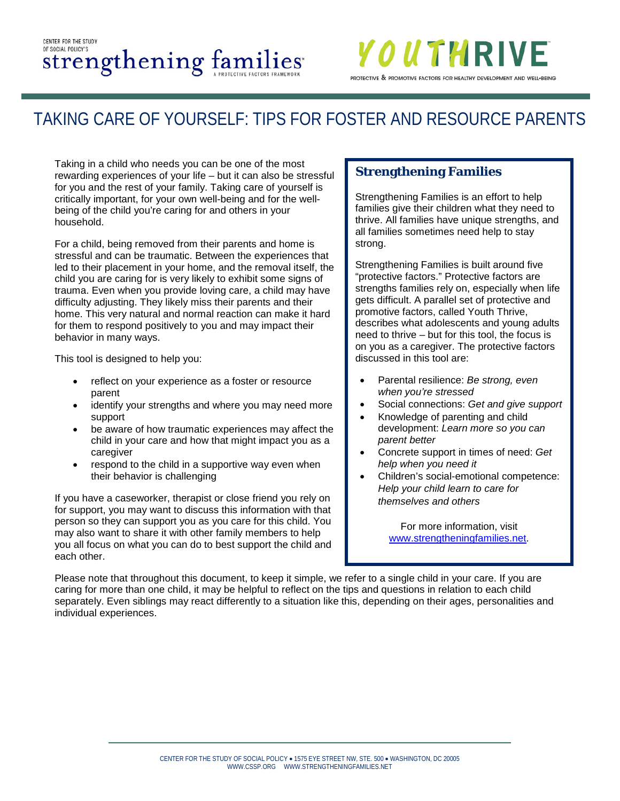#### CENTER FOR THE STUDY OF SOCIAL POLICY'S Strengthening families



# TAKING CARE OF YOURSELF: TIPS FOR FOSTER AND RESOURCE PARENTS

Taking in a child who needs you can be one of the most rewarding experiences of your life – but it can also be stressful for you and the rest of your family. Taking care of yourself is critically important, for your own well-being and for the wellbeing of the child you're caring for and others in your household.

For a child, being removed from their parents and home is stressful and can be traumatic. Between the experiences that led to their placement in your home, and the removal itself, the child you are caring for is very likely to exhibit some signs of trauma. Even when you provide loving care, a child may have difficulty adjusting. They likely miss their parents and their home. This very natural and normal reaction can make it hard for them to respond positively to you and may impact their behavior in many ways.

This tool is designed to help you:

- reflect on your experience as a foster or resource parent
- identify your strengths and where you may need more support
- be aware of how traumatic experiences may affect the child in your care and how that might impact you as a caregiver
- respond to the child in a supportive way even when their behavior is challenging

If you have a caseworker, therapist or close friend you rely on for support, you may want to discuss this information with that person so they can support you as you care for this child. You may also want to share it with other family members to help you all focus on what you can do to best support the child and each other.

#### **Strengthening Families**

Strengthening Families is an effort to help families give their children what they need to thrive. All families have unique strengths, and all families sometimes need help to stay strong.

Strengthening Families is built around five "protective factors." Protective factors are strengths families rely on, especially when life gets difficult. A parallel set of protective and promotive factors, called Youth Thrive, describes what adolescents and young adults need to thrive – but for this tool, the focus is on you as a caregiver. The protective factors discussed in this tool are:

- Parental resilience: *Be strong, even when you're stressed*
- Social connections: *Get and give support*
- Knowledge of parenting and child development: *Learn more so you can parent better*
- Concrete support in times of need: *Get help when you need it*
- Children's social-emotional competence: *Help your child learn to care for themselves and others*

For more information, visit [www.strengtheningfamilies.net.](http://www.strengtheningfamilies.net/)

Please note that throughout this document, to keep it simple, we refer to a single child in your care. If you are caring for more than one child, it may be helpful to reflect on the tips and questions in relation to each child separately. Even siblings may react differently to a situation like this, depending on their ages, personalities and individual experiences.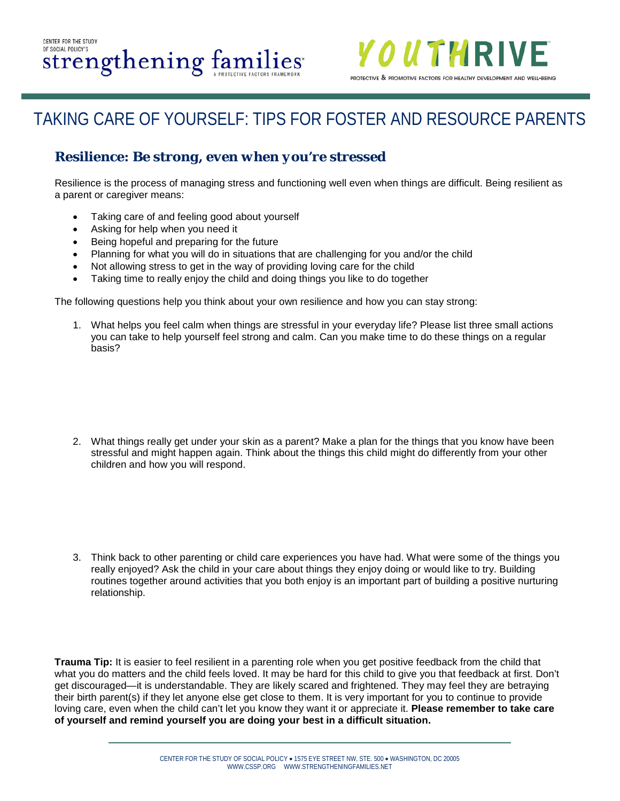

### **Resilience:** *Be strong, even when you're stressed*

Resilience is the process of managing stress and functioning well even when things are difficult. Being resilient as a parent or caregiver means:

- Taking care of and feeling good about yourself
- Asking for help when you need it
- Being hopeful and preparing for the future
- Planning for what you will do in situations that are challenging for you and/or the child
- Not allowing stress to get in the way of providing loving care for the child
- Taking time to really enjoy the child and doing things you like to do together

The following questions help you think about your own resilience and how you can stay strong:

1. What helps you feel calm when things are stressful in your everyday life? Please list three small actions you can take to help yourself feel strong and calm. Can you make time to do these things on a regular basis?

2. What things really get under your skin as a parent? Make a plan for the things that you know have been stressful and might happen again. Think about the things this child might do differently from your other children and how you will respond.

3. Think back to other parenting or child care experiences you have had. What were some of the things you really enjoyed? Ask the child in your care about things they enjoy doing or would like to try. Building routines together around activities that you both enjoy is an important part of building a positive nurturing relationship.

**Trauma Tip:** It is easier to feel resilient in a parenting role when you get positive feedback from the child that what you do matters and the child feels loved. It may be hard for this child to give you that feedback at first. Don't get discouraged—it is understandable. They are likely scared and frightened. They may feel they are betraying their birth parent(s) if they let anyone else get close to them. It is very important for you to continue to provide loving care, even when the child can't let you know they want it or appreciate it. **Please remember to take care of yourself and remind yourself you are doing your best in a difficult situation.**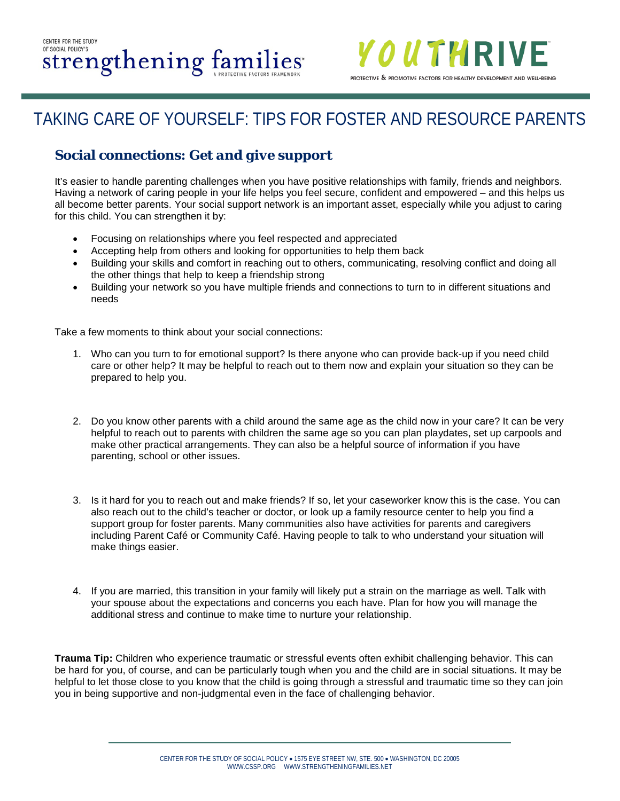

### **Social connections:** *Get and give support*

It's easier to handle parenting challenges when you have positive relationships with family, friends and neighbors. Having a network of caring people in your life helps you feel secure, confident and empowered – and this helps us all become better parents. Your social support network is an important asset, especially while you adjust to caring for this child. You can strengthen it by:

- Focusing on relationships where you feel respected and appreciated
- Accepting help from others and looking for opportunities to help them back
- Building your skills and comfort in reaching out to others, communicating, resolving conflict and doing all the other things that help to keep a friendship strong
- Building your network so you have multiple friends and connections to turn to in different situations and needs

Take a few moments to think about your social connections:

- 1. Who can you turn to for emotional support? Is there anyone who can provide back-up if you need child care or other help? It may be helpful to reach out to them now and explain your situation so they can be prepared to help you.
- 2. Do you know other parents with a child around the same age as the child now in your care? It can be very helpful to reach out to parents with children the same age so you can plan playdates, set up carpools and make other practical arrangements. They can also be a helpful source of information if you have parenting, school or other issues.
- 3. Is it hard for you to reach out and make friends? If so, let your caseworker know this is the case. You can also reach out to the child's teacher or doctor, or look up a family resource center to help you find a support group for foster parents. Many communities also have activities for parents and caregivers including Parent Café or Community Café. Having people to talk to who understand your situation will make things easier.
- 4. If you are married, this transition in your family will likely put a strain on the marriage as well. Talk with your spouse about the expectations and concerns you each have. Plan for how you will manage the additional stress and continue to make time to nurture your relationship.

**Trauma Tip:** Children who experience traumatic or stressful events often exhibit challenging behavior. This can be hard for you, of course, and can be particularly tough when you and the child are in social situations. It may be helpful to let those close to you know that the child is going through a stressful and traumatic time so they can join you in being supportive and non-judgmental even in the face of challenging behavior.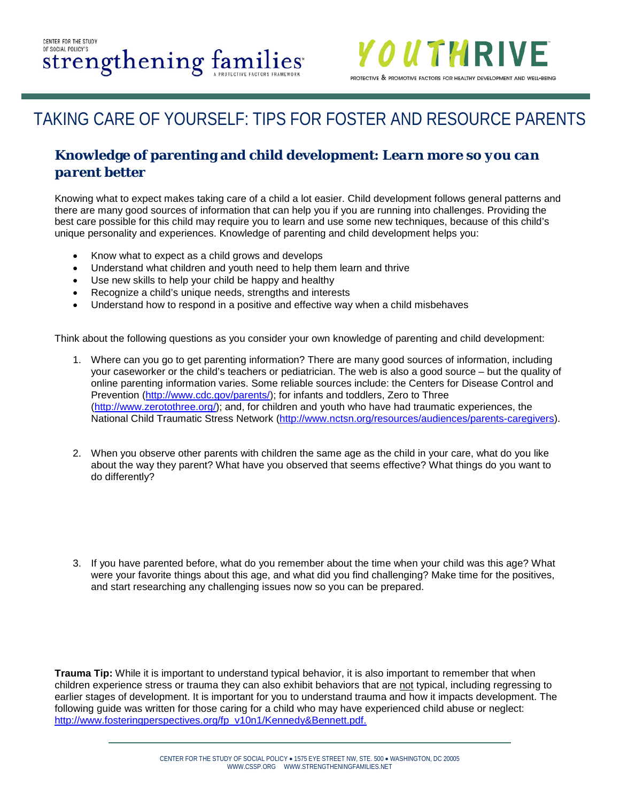

### **Knowledge of parenting and child development:** *Learn more so you can parent better*

Knowing what to expect makes taking care of a child a lot easier. Child development follows general patterns and there are many good sources of information that can help you if you are running into challenges. Providing the best care possible for this child may require you to learn and use some new techniques, because of this child's unique personality and experiences. Knowledge of parenting and child development helps you:

- Know what to expect as a child grows and develops
- Understand what children and youth need to help them learn and thrive
- Use new skills to help your child be happy and healthy
- Recognize a child's unique needs, strengths and interests
- Understand how to respond in a positive and effective way when a child misbehaves

Think about the following questions as you consider your own knowledge of parenting and child development:

- 1. Where can you go to get parenting information? There are many good sources of information, including your caseworker or the child's teachers or pediatrician. The web is also a good source – but the quality of online parenting information varies. Some reliable sources include: the Centers for Disease Control and Prevention [\(http://www.cdc.gov/parents/\)](http://www.cdc.gov/parents/); for infants and toddlers, Zero to Three [\(http://www.zerotothree.org/\)](http://www.zerotothree.org/); and, for children and youth who have had traumatic experiences, the National Child Traumatic Stress Network [\(http://www.nctsn.org/resources/audiences/parents-caregivers\)](http://www.nctsn.org/resources/audiences/parents-caregivers).
- 2. When you observe other parents with children the same age as the child in your care, what do you like about the way they parent? What have you observed that seems effective? What things do you want to do differently?
- 3. If you have parented before, what do you remember about the time when your child was this age? What were your favorite things about this age, and what did you find challenging? Make time for the positives, and start researching any challenging issues now so you can be prepared.

**Trauma Tip:** While it is important to understand typical behavior, it is also important to remember that when children experience stress or trauma they can also exhibit behaviors that are not typical, including regressing to earlier stages of development. It is important for you to understand trauma and how it impacts development. The following guide was written for those caring for a child who may have experienced child abuse or neglect: [http://www.fosteringperspectives.org/fp\\_v10n1/Kennedy&Bennett.pdf.](http://www.fosteringperspectives.org/fp_v10n1/Kennedy&Bennett.pdf)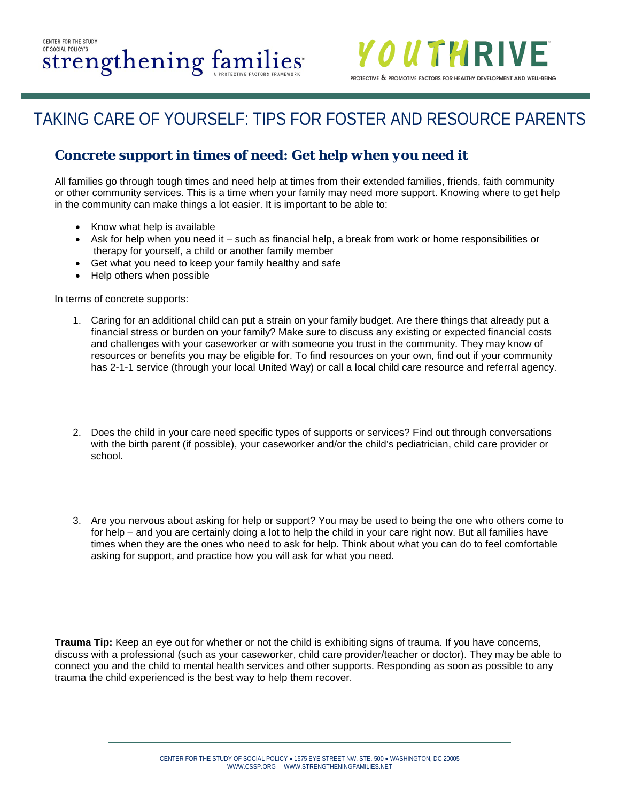

### **Concrete support in times of need:** *Get help when you need it*

All families go through tough times and need help at times from their extended families, friends, faith community or other community services. This is a time when your family may need more support. Knowing where to get help in the community can make things a lot easier. It is important to be able to:

- Know what help is available
- Ask for help when you need it such as financial help, a break from work or home responsibilities or therapy for yourself, a child or another family member
- Get what you need to keep your family healthy and safe
- Help others when possible

In terms of concrete supports:

- 1. Caring for an additional child can put a strain on your family budget. Are there things that already put a financial stress or burden on your family? Make sure to discuss any existing or expected financial costs and challenges with your caseworker or with someone you trust in the community. They may know of resources or benefits you may be eligible for. To find resources on your own, find out if your community has 2-1-1 service (through your local United Way) or call a local child care resource and referral agency.
- 2. Does the child in your care need specific types of supports or services? Find out through conversations with the birth parent (if possible), your caseworker and/or the child's pediatrician, child care provider or school.
- 3. Are you nervous about asking for help or support? You may be used to being the one who others come to for help – and you are certainly doing a lot to help the child in your care right now. But all families have times when they are the ones who need to ask for help. Think about what you can do to feel comfortable asking for support, and practice how you will ask for what you need.

**Trauma Tip:** Keep an eye out for whether or not the child is exhibiting signs of trauma. If you have concerns, discuss with a professional (such as your caseworker, child care provider/teacher or doctor). They may be able to connect you and the child to mental health services and other supports. Responding as soon as possible to any trauma the child experienced is the best way to help them recover.